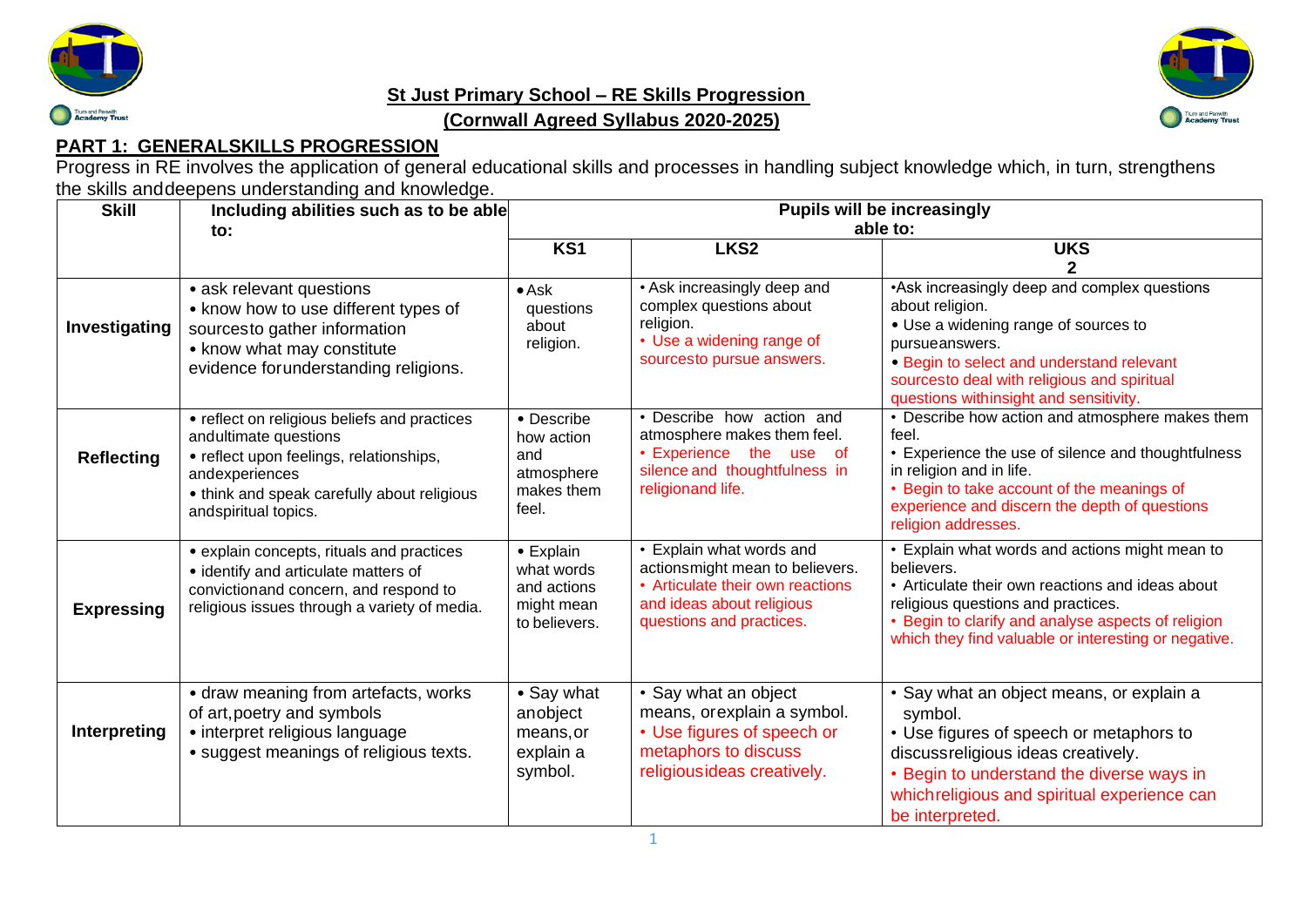

## **St Just Primary School – RE Skills Progression**



## **(Cornwall Agreed Syllabus 2020-2025)**

## **PART 1: GENERALSKILLS PROGRESSION**

Progress in RE involves the application of general educational skills and processes in handling subject knowledge which, in turn, strengthens the skills anddeepens understanding and knowledge.

| <b>Skill</b>      | Including abilities such as to be able                                                                                                                                                                    | <b>Pupils will be increasingly</b>                                    |                                                                                                                                                          |                                                                                                                                                                                                                                                                      |
|-------------------|-----------------------------------------------------------------------------------------------------------------------------------------------------------------------------------------------------------|-----------------------------------------------------------------------|----------------------------------------------------------------------------------------------------------------------------------------------------------|----------------------------------------------------------------------------------------------------------------------------------------------------------------------------------------------------------------------------------------------------------------------|
|                   | to:                                                                                                                                                                                                       | able to:                                                              |                                                                                                                                                          |                                                                                                                                                                                                                                                                      |
|                   |                                                                                                                                                                                                           | KS1                                                                   | LKS <sub>2</sub>                                                                                                                                         | <b>UKS</b>                                                                                                                                                                                                                                                           |
|                   |                                                                                                                                                                                                           |                                                                       |                                                                                                                                                          |                                                                                                                                                                                                                                                                      |
| Investigating     | • ask relevant questions<br>• know how to use different types of<br>sourcesto gather information<br>• know what may constitute<br>evidence for understanding religions.                                   | $\bullet$ Ask<br>questions<br>about<br>religion.                      | • Ask increasingly deep and<br>complex questions about<br>religion.<br>• Use a widening range of<br>sourcesto pursue answers.                            | • Ask increasingly deep and complex questions<br>about religion.<br>• Use a widening range of sources to<br>pursueanswers.<br>• Begin to select and understand relevant<br>sourcesto deal with religious and spiritual<br>questions withinsight and sensitivity.     |
| <b>Reflecting</b> | • reflect on religious beliefs and practices<br>andultimate questions<br>• reflect upon feelings, relationships,<br>andexperiences<br>• think and speak carefully about religious<br>andspiritual topics. | • Describe<br>how action<br>and<br>atmosphere<br>makes them<br>feel.  | • Describe how action and<br>atmosphere makes them feel.<br>• Experience the use of<br>silence and thoughtfulness in<br>religionand life.                | • Describe how action and atmosphere makes them<br>feel.<br>• Experience the use of silence and thoughtfulness<br>in religion and in life.<br>• Begin to take account of the meanings of<br>experience and discern the depth of questions<br>religion addresses.     |
| <b>Expressing</b> | • explain concepts, rituals and practices<br>• identify and articulate matters of<br>convictionand concern, and respond to<br>religious issues through a variety of media.                                | • Explain<br>what words<br>and actions<br>might mean<br>to believers. | • Explain what words and<br>actionsmight mean to believers.<br>• Articulate their own reactions<br>and ideas about religious<br>questions and practices. | • Explain what words and actions might mean to<br>believers.<br>• Articulate their own reactions and ideas about<br>religious questions and practices.<br>• Begin to clarify and analyse aspects of religion<br>which they find valuable or interesting or negative. |
| Interpreting      | • draw meaning from artefacts, works<br>of art, poetry and symbols<br>• interpret religious language<br>• suggest meanings of religious texts.                                                            | • Say what<br>anobject<br>means, or<br>explain a<br>symbol.           | • Say what an object<br>means, or explain a symbol.<br>• Use figures of speech or<br>metaphors to discuss<br>religiousideas creatively.                  | · Say what an object means, or explain a<br>symbol.<br>• Use figures of speech or metaphors to<br>discussreligious ideas creatively.<br>• Begin to understand the diverse ways in<br>whichreligious and spiritual experience can<br>be interpreted.                  |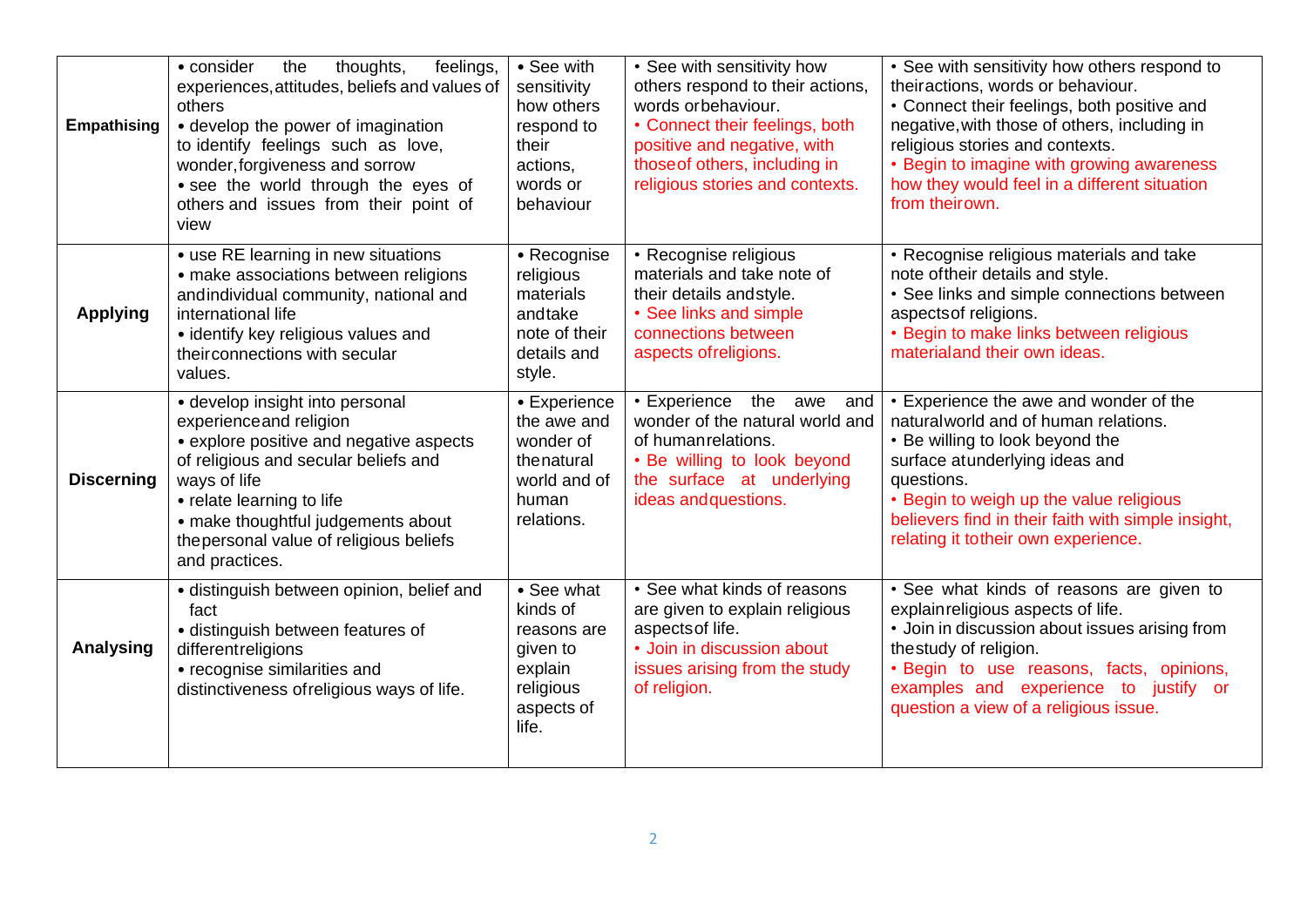| <b>Empathising</b> | thoughts,<br>feelings,<br>• consider<br>the<br>experiences, attitudes, beliefs and values of<br>others<br>• develop the power of imagination<br>to identify feelings such as love,<br>wonder, forgiveness and sorrow<br>• see the world through the eyes of<br>others and issues from their point of<br>view | • See with<br>sensitivity<br>how others<br>respond to<br>their<br>actions,<br>words or<br>behaviour | • See with sensitivity how<br>others respond to their actions,<br>words orbehaviour.<br>• Connect their feelings, both<br>positive and negative, with<br>those of others, including in<br>religious stories and contexts. | • See with sensitivity how others respond to<br>theiractions, words or behaviour.<br>• Connect their feelings, both positive and<br>negative, with those of others, including in<br>religious stories and contexts.<br>• Begin to imagine with growing awareness<br>how they would feel in a different situation<br>from theirown. |
|--------------------|--------------------------------------------------------------------------------------------------------------------------------------------------------------------------------------------------------------------------------------------------------------------------------------------------------------|-----------------------------------------------------------------------------------------------------|---------------------------------------------------------------------------------------------------------------------------------------------------------------------------------------------------------------------------|------------------------------------------------------------------------------------------------------------------------------------------------------------------------------------------------------------------------------------------------------------------------------------------------------------------------------------|
| <b>Applying</b>    | • use RE learning in new situations<br>• make associations between religions<br>andindividual community, national and<br>international life<br>• identify key religious values and<br>their connections with secular<br>values.                                                                              | • Recognise<br>religious<br>materials<br>andtake<br>note of their<br>details and<br>style.          | • Recognise religious<br>materials and take note of<br>their details and style.<br>• See links and simple<br>connections between<br>aspects of religions.                                                                 | • Recognise religious materials and take<br>note of their details and style.<br>• See links and simple connections between<br>aspects of religions.<br>• Begin to make links between religious<br>materialand their own ideas.                                                                                                     |
| <b>Discerning</b>  | • develop insight into personal<br>experience and religion<br>• explore positive and negative aspects<br>of religious and secular beliefs and<br>ways of life<br>• relate learning to life<br>• make thoughtful judgements about<br>the personal value of religious beliefs<br>and practices.                | • Experience<br>the awe and<br>wonder of<br>thenatural<br>world and of<br>human<br>relations.       | • Experience<br>the awe<br>and<br>wonder of the natural world and<br>of human relations.<br>• Be willing to look beyond<br>the surface at underlying<br>ideas and questions.                                              | • Experience the awe and wonder of the<br>natural world and of human relations.<br>• Be willing to look beyond the<br>surface atunderlying ideas and<br>questions.<br>• Begin to weigh up the value religious<br>believers find in their faith with simple insight,<br>relating it totheir own experience.                         |
| <b>Analysing</b>   | · distinguish between opinion, belief and<br>fact<br>· distinguish between features of<br>different religions<br>• recognise similarities and<br>distinctiveness of religious ways of life.                                                                                                                  | • See what<br>kinds of<br>reasons are<br>given to<br>explain<br>religious<br>aspects of<br>life.    | • See what kinds of reasons<br>are given to explain religious<br>aspects of life.<br>• Join in discussion about<br>issues arising from the study<br>of religion.                                                          | • See what kinds of reasons are given to<br>explain religious aspects of life.<br>• Join in discussion about issues arising from<br>thestudy of religion.<br>. Begin to use reasons, facts, opinions,<br>examples and experience to justify or<br>question a view of a religious issue.                                            |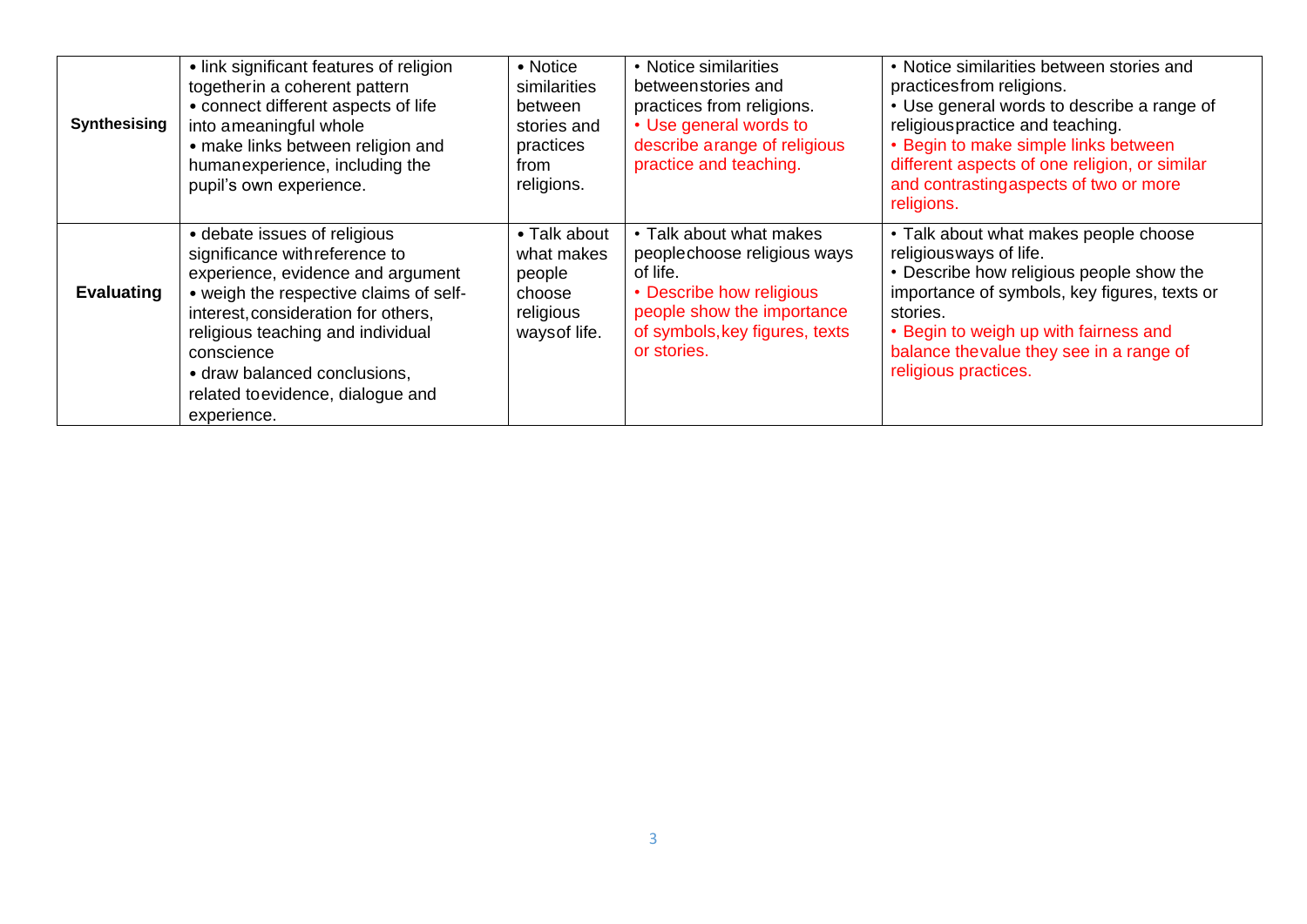| <b>Synthesising</b> | • link significant features of religion<br>togetherin a coherent pattern<br>• connect different aspects of life<br>into ameaningful whole<br>• make links between religion and<br>humanexperience, including the<br>pupil's own experience.                                                                                 | • Notice<br>similarities<br>between<br>stories and<br>practices<br>from<br>religions. | • Notice similarities<br>betweenstories and<br>practices from religions.<br>• Use general words to<br>describe arange of religious<br>practice and teaching.                  | • Notice similarities between stories and<br>practices from religions.<br>• Use general words to describe a range of<br>religious practice and teaching.<br>• Begin to make simple links between<br>different aspects of one religion, or similar<br>and contrastingaspects of two or more<br>religions. |
|---------------------|-----------------------------------------------------------------------------------------------------------------------------------------------------------------------------------------------------------------------------------------------------------------------------------------------------------------------------|---------------------------------------------------------------------------------------|-------------------------------------------------------------------------------------------------------------------------------------------------------------------------------|----------------------------------------------------------------------------------------------------------------------------------------------------------------------------------------------------------------------------------------------------------------------------------------------------------|
| <b>Evaluating</b>   | • debate issues of religious<br>significance with reference to<br>experience, evidence and argument<br>• weigh the respective claims of self-<br>interest, consideration for others,<br>religious teaching and individual<br>conscience<br>• draw balanced conclusions,<br>related to evidence, dialogue and<br>experience. | • Talk about<br>what makes<br>people<br>choose<br>religious<br>waysof life.           | • Talk about what makes<br>peoplechoose religious ways<br>of life.<br>• Describe how religious<br>people show the importance<br>of symbols, key figures, texts<br>or stories. | • Talk about what makes people choose<br>religious ways of life.<br>• Describe how religious people show the<br>importance of symbols, key figures, texts or<br>stories.<br>• Begin to weigh up with fairness and<br>balance thevalue they see in a range of<br>religious practices.                     |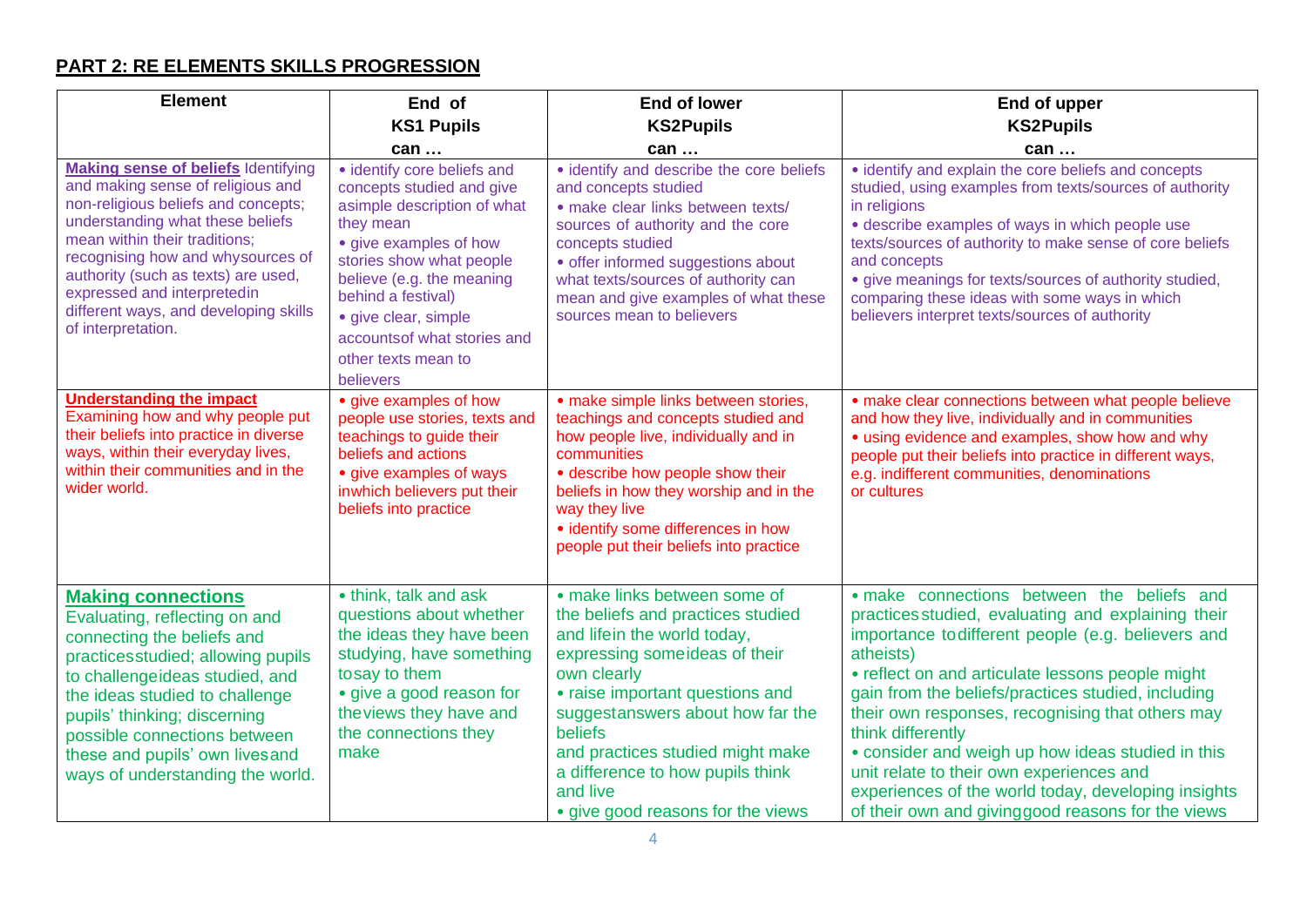## **PART 2: RE ELEMENTS SKILLS PROGRESSION**

| <b>Element</b>                                                                                                                                                                                                                                                                                                                                                        | End of                                                                                                                                                                                                                                                                                                   | <b>End of lower</b>                                                                                                                                                                                                                                                                                                                                          | End of upper                                                                                                                                                                                                                                                                                                                                                                                                                                                                                                                                                         |
|-----------------------------------------------------------------------------------------------------------------------------------------------------------------------------------------------------------------------------------------------------------------------------------------------------------------------------------------------------------------------|----------------------------------------------------------------------------------------------------------------------------------------------------------------------------------------------------------------------------------------------------------------------------------------------------------|--------------------------------------------------------------------------------------------------------------------------------------------------------------------------------------------------------------------------------------------------------------------------------------------------------------------------------------------------------------|----------------------------------------------------------------------------------------------------------------------------------------------------------------------------------------------------------------------------------------------------------------------------------------------------------------------------------------------------------------------------------------------------------------------------------------------------------------------------------------------------------------------------------------------------------------------|
|                                                                                                                                                                                                                                                                                                                                                                       | <b>KS1 Pupils</b>                                                                                                                                                                                                                                                                                        | <b>KS2Pupils</b>                                                                                                                                                                                                                                                                                                                                             | <b>KS2Pupils</b>                                                                                                                                                                                                                                                                                                                                                                                                                                                                                                                                                     |
|                                                                                                                                                                                                                                                                                                                                                                       | can                                                                                                                                                                                                                                                                                                      | can                                                                                                                                                                                                                                                                                                                                                          | can                                                                                                                                                                                                                                                                                                                                                                                                                                                                                                                                                                  |
| <b>Making sense of beliefs Identifying</b><br>and making sense of religious and<br>non-religious beliefs and concepts;<br>understanding what these beliefs<br>mean within their traditions;<br>recognising how and whysources of<br>authority (such as texts) are used,<br>expressed and interpretedin<br>different ways, and developing skills<br>of interpretation. | · identify core beliefs and<br>concepts studied and give<br>asimple description of what<br>they mean<br>• give examples of how<br>stories show what people<br>believe (e.g. the meaning<br>behind a festival)<br>• give clear, simple<br>accountsof what stories and<br>other texts mean to<br>believers | · identify and describe the core beliefs<br>and concepts studied<br>· make clear links between texts/<br>sources of authority and the core<br>concepts studied<br>· offer informed suggestions about<br>what texts/sources of authority can<br>mean and give examples of what these<br>sources mean to believers                                             | • identify and explain the core beliefs and concepts<br>studied, using examples from texts/sources of authority<br>in religions<br>• describe examples of ways in which people use<br>texts/sources of authority to make sense of core beliefs<br>and concepts<br>• give meanings for texts/sources of authority studied,<br>comparing these ideas with some ways in which<br>believers interpret texts/sources of authority                                                                                                                                         |
| <b>Understanding the impact</b><br>Examining how and why people put<br>their beliefs into practice in diverse<br>ways, within their everyday lives,<br>within their communities and in the<br>wider world.                                                                                                                                                            | • give examples of how<br>people use stories, texts and<br>teachings to guide their<br>beliefs and actions<br>• give examples of ways<br>inwhich believers put their<br>beliefs into practice                                                                                                            | · make simple links between stories,<br>teachings and concepts studied and<br>how people live, individually and in<br>communities<br>• describe how people show their<br>beliefs in how they worship and in the<br>way they live<br>· identify some differences in how<br>people put their beliefs into practice                                             | • make clear connections between what people believe<br>and how they live, individually and in communities<br>• using evidence and examples, show how and why<br>people put their beliefs into practice in different ways,<br>e.g. indifferent communities, denominations<br>or cultures                                                                                                                                                                                                                                                                             |
| <b>Making connections</b><br>Evaluating, reflecting on and<br>connecting the beliefs and<br>practicesstudied; allowing pupils<br>to challengeideas studied, and<br>the ideas studied to challenge<br>pupils' thinking; discerning<br>possible connections between<br>these and pupils' own lives and<br>ways of understanding the world.                              | • think, talk and ask<br>questions about whether<br>the ideas they have been<br>studying, have something<br>tosay to them<br>• give a good reason for<br>theviews they have and<br>the connections they<br>make                                                                                          | • make links between some of<br>the beliefs and practices studied<br>and lifein the world today,<br>expressing some ideas of their<br>own clearly<br>• raise important questions and<br>suggestanswers about how far the<br>beliefs<br>and practices studied might make<br>a difference to how pupils think<br>and live<br>• give good reasons for the views | · make connections between the beliefs and<br>practices studied, evaluating and explaining their<br>importance to different people (e.g. believers and<br>atheists)<br>• reflect on and articulate lessons people might<br>gain from the beliefs/practices studied, including<br>their own responses, recognising that others may<br>think differently<br>• consider and weigh up how ideas studied in this<br>unit relate to their own experiences and<br>experiences of the world today, developing insights<br>of their own and giving good reasons for the views |